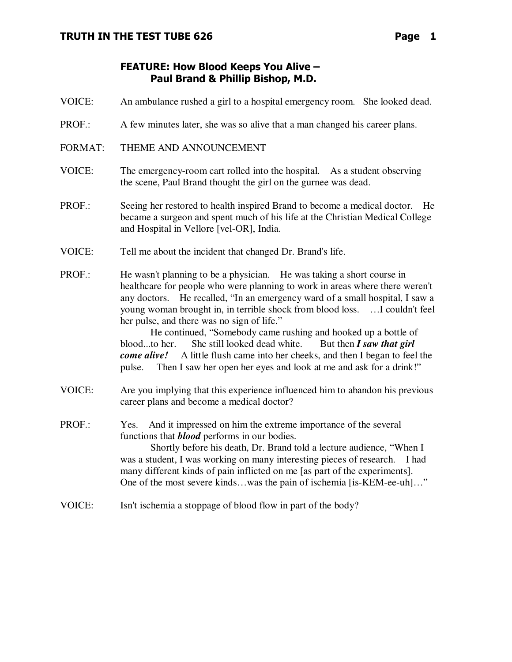# FEATURE: How Blood Keeps You Alive – Paul Brand & Phillip Bishop, M.D.

- VOICE: An ambulance rushed a girl to a hospital emergency room. She looked dead.
- PROF.: A few minutes later, she was so alive that a man changed his career plans.
- FORMAT: THEME AND ANNOUNCEMENT
- VOICE: The emergency-room cart rolled into the hospital. As a student observing the scene, Paul Brand thought the girl on the gurnee was dead.
- PROF.: Seeing her restored to health inspired Brand to become a medical doctor. He became a surgeon and spent much of his life at the Christian Medical College and Hospital in Vellore [vel-OR], India.
- VOICE: Tell me about the incident that changed Dr. Brand's life.
- PROF.: He wasn't planning to be a physician. He was taking a short course in healthcare for people who were planning to work in areas where there weren't any doctors. He recalled, "In an emergency ward of a small hospital, I saw a young woman brought in, in terrible shock from blood loss. …I couldn't feel her pulse, and there was no sign of life."

 He continued, "Somebody came rushing and hooked up a bottle of blood...to her. She still looked dead white. But then *I saw that girl come alive!* A little flush came into her cheeks, and then I began to feel the pulse. Then I saw her open her eyes and look at me and ask for a drink!"

- VOICE: Are you implying that this experience influenced him to abandon his previous career plans and become a medical doctor?
- PROF.: Yes. And it impressed on him the extreme importance of the several functions that *blood* performs in our bodies. Shortly before his death, Dr. Brand told a lecture audience, "When I was a student, I was working on many interesting pieces of research. I had many different kinds of pain inflicted on me [as part of the experiments]. One of the most severe kinds…was the pain of ischemia [is-KEM-ee-uh]…"
- VOICE: Isn't ischemia a stoppage of blood flow in part of the body?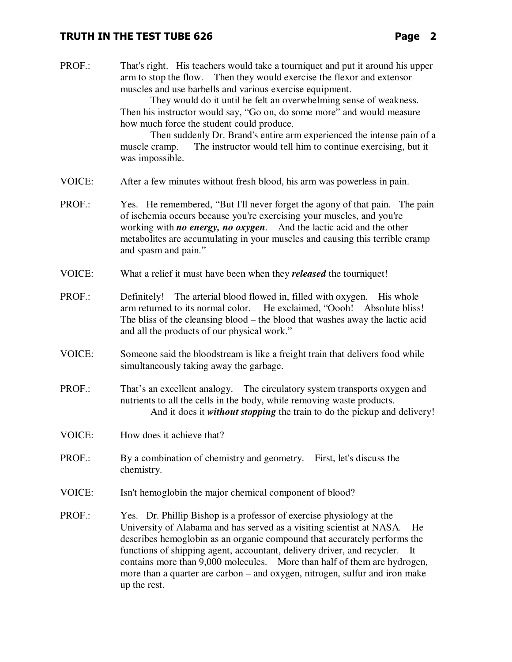PROF.: That's right. His teachers would take a tourniquet and put it around his upper arm to stop the flow. Then they would exercise the flexor and extensor muscles and use barbells and various exercise equipment.

> They would do it until he felt an overwhelming sense of weakness. Then his instructor would say, "Go on, do some more" and would measure how much force the student could produce.

Then suddenly Dr. Brand's entire arm experienced the intense pain of a muscle cramp. The instructor would tell him to continue exercising, but it was impossible.

- VOICE: After a few minutes without fresh blood, his arm was powerless in pain.
- PROF.: Yes. He remembered, "But I'll never forget the agony of that pain. The pain of ischemia occurs because you're exercising your muscles, and you're working with *no energy, no oxygen*. And the lactic acid and the other metabolites are accumulating in your muscles and causing this terrible cramp and spasm and pain."
- VOICE: What a relief it must have been when they *released* the tourniquet!
- PROF.: Definitely! The arterial blood flowed in, filled with oxygen. His whole arm returned to its normal color. He exclaimed, "Oooh! Absolute bliss! The bliss of the cleansing blood – the blood that washes away the lactic acid and all the products of our physical work."
- VOICE: Someone said the bloodstream is like a freight train that delivers food while simultaneously taking away the garbage.
- PROF.: That's an excellent analogy. The circulatory system transports oxygen and nutrients to all the cells in the body, while removing waste products. And it does it *without stopping* the train to do the pickup and delivery!
- VOICE: How does it achieve that?
- PROF.: By a combination of chemistry and geometry. First, let's discuss the chemistry.
- VOICE: Isn't hemoglobin the major chemical component of blood?
- PROF.: Yes. Dr. Phillip Bishop is a professor of exercise physiology at the University of Alabama and has served as a visiting scientist at NASA*.* He describes hemoglobin as an organic compound that accurately performs the functions of shipping agent, accountant, delivery driver, and recycler. It contains more than 9,000 molecules. More than half of them are hydrogen, more than a quarter are carbon – and oxygen, nitrogen, sulfur and iron make up the rest.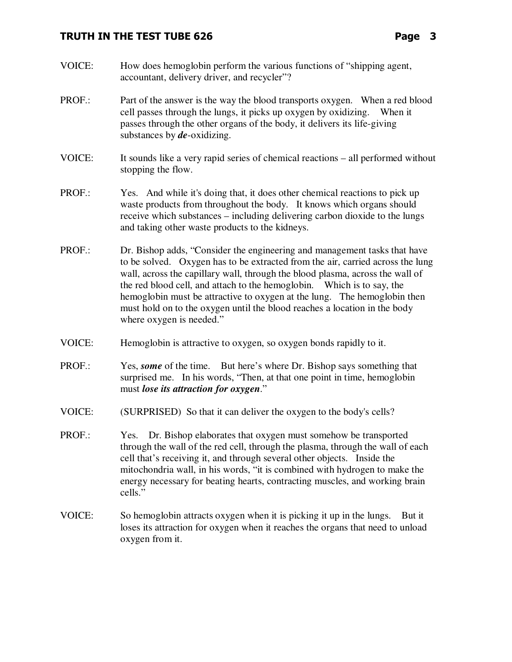- VOICE: How does hemoglobin perform the various functions of "shipping agent, accountant, delivery driver, and recycler"?
- PROF.: Part of the answer is the way the blood transports oxygen. When a red blood cell passes through the lungs, it picks up oxygen by oxidizing. When it passes through the other organs of the body, it delivers its life-giving substances by *de*-oxidizing.
- VOICE: It sounds like a very rapid series of chemical reactions all performed without stopping the flow.
- PROF.: Yes. And while it's doing that, it does other chemical reactions to pick up waste products from throughout the body. It knows which organs should receive which substances – including delivering carbon dioxide to the lungs and taking other waste products to the kidneys.
- PROF.: Dr. Bishop adds, "Consider the engineering and management tasks that have to be solved. Oxygen has to be extracted from the air, carried across the lung wall, across the capillary wall, through the blood plasma, across the wall of the red blood cell, and attach to the hemoglobin. Which is to say, the hemoglobin must be attractive to oxygen at the lung. The hemoglobin then must hold on to the oxygen until the blood reaches a location in the body where oxygen is needed."
- VOICE: Hemoglobin is attractive to oxygen, so oxygen bonds rapidly to it.
- PROF.: Yes, *some* of the time. But here's where Dr. Bishop says something that surprised me. In his words, "Then, at that one point in time, hemoglobin must *lose its attraction for oxygen*."
- VOICE: (SURPRISED) So that it can deliver the oxygen to the body's cells?
- PROF.: Yes. Dr. Bishop elaborates that oxygen must somehow be transported through the wall of the red cell, through the plasma, through the wall of each cell that's receiving it, and through several other objects. Inside the mitochondria wall, in his words, "it is combined with hydrogen to make the energy necessary for beating hearts, contracting muscles, and working brain cells."
- VOICE: So hemoglobin attracts oxygen when it is picking it up in the lungs. But it loses its attraction for oxygen when it reaches the organs that need to unload oxygen from it.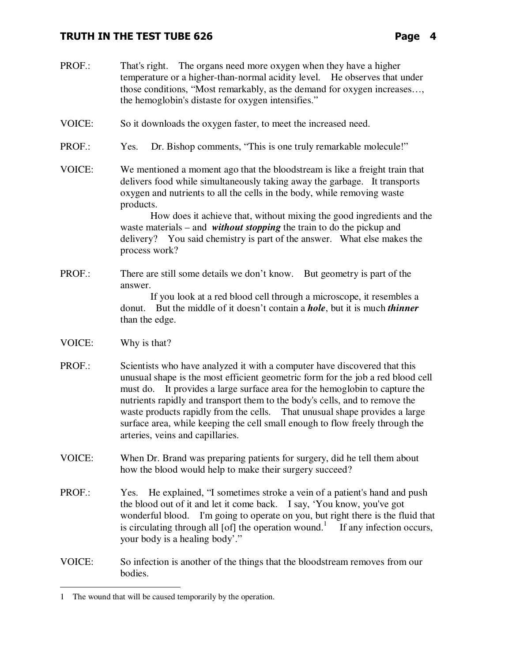PROF.: That's right. The organs need more oxygen when they have a higher temperature or a higher-than-normal acidity level. He observes that under those conditions, "Most remarkably, as the demand for oxygen increases…, the hemoglobin's distaste for oxygen intensifies." VOICE: So it downloads the oxygen faster, to meet the increased need. PROF.: Yes. Dr. Bishop comments, "This is one truly remarkable molecule!" VOICE: We mentioned a moment ago that the bloodstream is like a freight train that delivers food while simultaneously taking away the garbage. It transports oxygen and nutrients to all the cells in the body, while removing waste products. How does it achieve that, without mixing the good ingredients and the waste materials – and *without stopping* the train to do the pickup and delivery? You said chemistry is part of the answer. What else makes the process work? PROF.: There are still some details we don't know. But geometry is part of the answer. If you look at a red blood cell through a microscope, it resembles a donut. But the middle of it doesn't contain a *hole*, but it is much *thinner* than the edge. VOICE: Why is that? PROF.: Scientists who have analyzed it with a computer have discovered that this unusual shape is the most efficient geometric form for the job a red blood cell must do. It provides a large surface area for the hemoglobin to capture the nutrients rapidly and transport them to the body's cells, and to remove the waste products rapidly from the cells. That unusual shape provides a large surface area, while keeping the cell small enough to flow freely through the arteries, veins and capillaries. VOICE: When Dr. Brand was preparing patients for surgery, did he tell them about how the blood would help to make their surgery succeed? PROF.: Yes. He explained, "I sometimes stroke a vein of a patient's hand and push the blood out of it and let it come back. I say, 'You know, you've got wonderful blood. I'm going to operate on you, but right there is the fluid that is circulating through all  $[of]$  the operation wound.<sup>1</sup> If any infection occurs, your body is a healing body'." VOICE: So infection is another of the things that the bloodstream removes from our bodies. -1 The wound that will be caused temporarily by the operation.